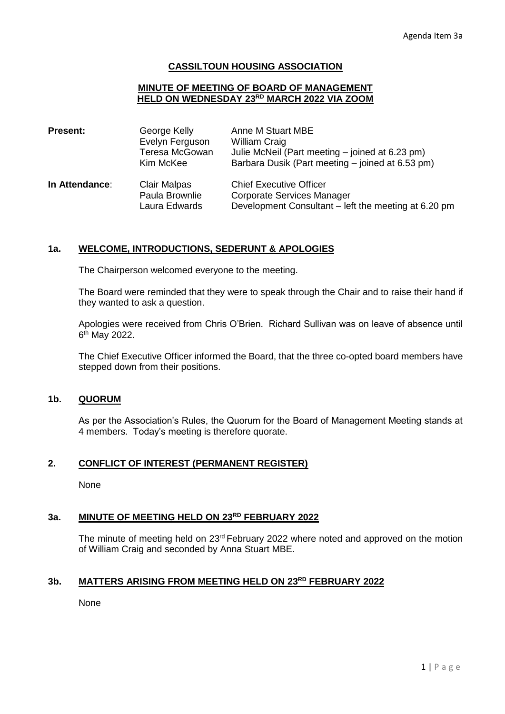### **CASSILTOUN HOUSING ASSOCIATION**

#### **MINUTE OF MEETING OF BOARD OF MANAGEMENT HELD ON WEDNESDAY 23RD MARCH 2022 VIA ZOOM**

| <b>Present:</b> | George Kelly<br>Evelyn Ferguson<br>Teresa McGowan<br>Kim McKee | Anne M Stuart MBE<br><b>William Craig</b><br>Julie McNeil (Part meeting – joined at 6.23 pm)<br>Barbara Dusik (Part meeting – joined at 6.53 pm) |  |  |
|-----------------|----------------------------------------------------------------|--------------------------------------------------------------------------------------------------------------------------------------------------|--|--|
| In Attendance:  | <b>Clair Malpas</b><br>Paula Brownlie<br>Laura Edwards         | <b>Chief Executive Officer</b><br>Corporate Services Manager<br>Development Consultant – left the meeting at 6.20 pm                             |  |  |

#### **1a. WELCOME, INTRODUCTIONS, SEDERUNT & APOLOGIES**

The Chairperson welcomed everyone to the meeting.

The Board were reminded that they were to speak through the Chair and to raise their hand if they wanted to ask a question.

Apologies were received from Chris O'Brien. Richard Sullivan was on leave of absence until 6<sup>th</sup> May 2022.

The Chief Executive Officer informed the Board, that the three co-opted board members have stepped down from their positions.

### **1b. QUORUM**

As per the Association's Rules, the Quorum for the Board of Management Meeting stands at 4 members. Today's meeting is therefore quorate.

### **2. CONFLICT OF INTEREST (PERMANENT REGISTER)**

None

#### **3a. MINUTE OF MEETING HELD ON 23RD FEBRUARY 2022**

The minute of meeting held on 23<sup>rd</sup> February 2022 where noted and approved on the motion of William Craig and seconded by Anna Stuart MBE.

#### **3b. MATTERS ARISING FROM MEETING HELD ON 23RD FEBRUARY 2022**

None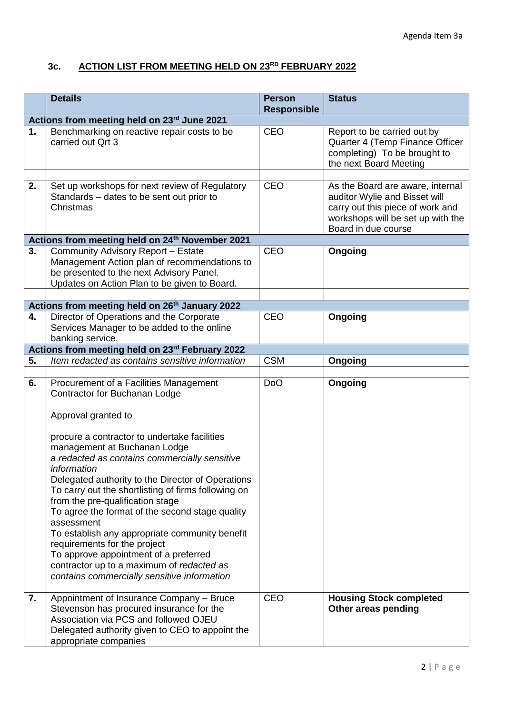# **3c. ACTION LIST FROM MEETING HELD ON 23RD FEBRUARY 2022**

|                                                            | <b>Details</b>                                                                                                                                                                                                                                                                                                                                                                                                                                                                                                                                                                                                                                                                         | <b>Person</b><br><b>Responsible</b> | <b>Status</b>                                                                                                                                                     |  |
|------------------------------------------------------------|----------------------------------------------------------------------------------------------------------------------------------------------------------------------------------------------------------------------------------------------------------------------------------------------------------------------------------------------------------------------------------------------------------------------------------------------------------------------------------------------------------------------------------------------------------------------------------------------------------------------------------------------------------------------------------------|-------------------------------------|-------------------------------------------------------------------------------------------------------------------------------------------------------------------|--|
| Actions from meeting held on 23rd June 2021                |                                                                                                                                                                                                                                                                                                                                                                                                                                                                                                                                                                                                                                                                                        |                                     |                                                                                                                                                                   |  |
| 1.                                                         | Benchmarking on reactive repair costs to be<br>carried out Ort 3                                                                                                                                                                                                                                                                                                                                                                                                                                                                                                                                                                                                                       | <b>CEO</b>                          | Report to be carried out by<br>Quarter 4 (Temp Finance Officer<br>completing) To be brought to<br>the next Board Meeting                                          |  |
| 2.                                                         | Set up workshops for next review of Regulatory<br>Standards - dates to be sent out prior to<br>Christmas                                                                                                                                                                                                                                                                                                                                                                                                                                                                                                                                                                               | <b>CEO</b>                          | As the Board are aware, internal<br>auditor Wylie and Bisset will<br>carry out this piece of work and<br>workshops will be set up with the<br>Board in due course |  |
|                                                            | Actions from meeting held on 24 <sup>th</sup> November 2021                                                                                                                                                                                                                                                                                                                                                                                                                                                                                                                                                                                                                            |                                     |                                                                                                                                                                   |  |
| 3.                                                         | Community Advisory Report - Estate<br>Management Action plan of recommendations to<br>be presented to the next Advisory Panel.<br>Updates on Action Plan to be given to Board.                                                                                                                                                                                                                                                                                                                                                                                                                                                                                                         | <b>CEO</b>                          | Ongoing                                                                                                                                                           |  |
| Actions from meeting held on 26 <sup>th</sup> January 2022 |                                                                                                                                                                                                                                                                                                                                                                                                                                                                                                                                                                                                                                                                                        |                                     |                                                                                                                                                                   |  |
| 4.                                                         | Director of Operations and the Corporate<br>Services Manager to be added to the online<br>banking service.                                                                                                                                                                                                                                                                                                                                                                                                                                                                                                                                                                             | <b>CEO</b>                          | Ongoing                                                                                                                                                           |  |
| Actions from meeting held on 23rd February 2022            |                                                                                                                                                                                                                                                                                                                                                                                                                                                                                                                                                                                                                                                                                        |                                     |                                                                                                                                                                   |  |
| 5.                                                         | Item redacted as contains sensitive information                                                                                                                                                                                                                                                                                                                                                                                                                                                                                                                                                                                                                                        | <b>CSM</b>                          | Ongoing                                                                                                                                                           |  |
| 6.                                                         | Procurement of a Facilities Management<br>Contractor for Buchanan Lodge<br>Approval granted to<br>procure a contractor to undertake facilities<br>management at Buchanan Lodge<br>a redacted as contains commercially sensitive<br>information<br>Delegated authority to the Director of Operations<br>To carry out the shortlisting of firms following on<br>from the pre-qualification stage<br>To agree the format of the second stage quality<br>assessment<br>To establish any appropriate community benefit<br>requirements for the project<br>To approve appointment of a preferred<br>contractor up to a maximum of redacted as<br>contains commercially sensitive information | D <sub>o</sub> O                    | Ongoing                                                                                                                                                           |  |
| 7.                                                         | Appointment of Insurance Company - Bruce<br>Stevenson has procured insurance for the<br>Association via PCS and followed OJEU<br>Delegated authority given to CEO to appoint the<br>appropriate companies                                                                                                                                                                                                                                                                                                                                                                                                                                                                              | <b>CEO</b>                          | <b>Housing Stock completed</b><br>Other areas pending                                                                                                             |  |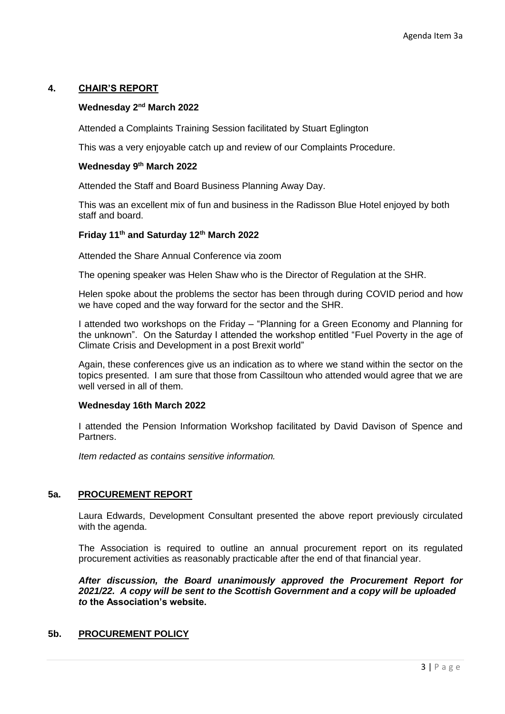# **4. CHAIR'S REPORT**

# **Wednesday 2nd March 2022**

Attended a Complaints Training Session facilitated by Stuart Eglington

This was a very enjoyable catch up and review of our Complaints Procedure.

### **Wednesday 9th March 2022**

Attended the Staff and Board Business Planning Away Day.

This was an excellent mix of fun and business in the Radisson Blue Hotel enjoyed by both staff and board.

### **Friday 11th and Saturday 12th March 2022**

Attended the Share Annual Conference via zoom

The opening speaker was Helen Shaw who is the Director of Regulation at the SHR.

Helen spoke about the problems the sector has been through during COVID period and how we have coped and the way forward for the sector and the SHR.

I attended two workshops on the Friday – "Planning for a Green Economy and Planning for the unknown". On the Saturday I attended the workshop entitled "Fuel Poverty in the age of Climate Crisis and Development in a post Brexit world"

Again, these conferences give us an indication as to where we stand within the sector on the topics presented. I am sure that those from Cassiltoun who attended would agree that we are well versed in all of them.

### **Wednesday 16th March 2022**

I attended the Pension Information Workshop facilitated by David Davison of Spence and **Partners** 

*Item redacted as contains sensitive information.*

# **5a. PROCUREMENT REPORT**

Laura Edwards, Development Consultant presented the above report previously circulated with the agenda.

The Association is required to outline an annual procurement report on its regulated procurement activities as reasonably practicable after the end of that financial year.

*After discussion, the Board unanimously approved the Procurement Report for 2021/22. A copy will be sent to the Scottish Government and a copy will be uploaded to* **the Association's website.** 

# **5b. PROCUREMENT POLICY**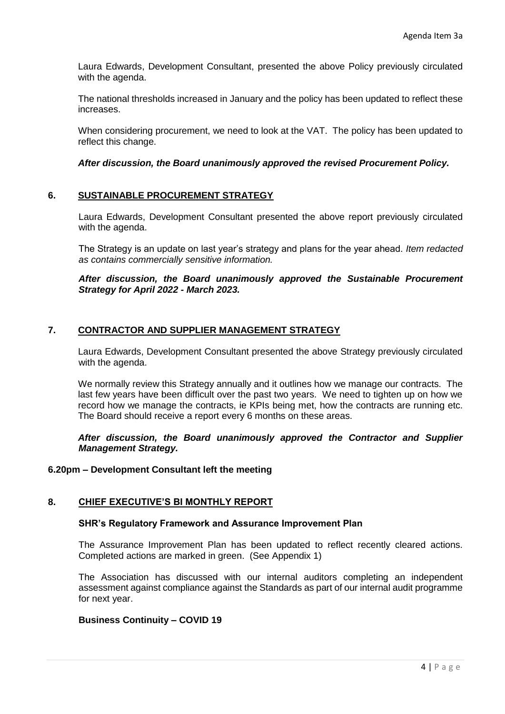Laura Edwards, Development Consultant, presented the above Policy previously circulated with the agenda.

The national thresholds increased in January and the policy has been updated to reflect these increases.

When considering procurement, we need to look at the VAT. The policy has been updated to reflect this change.

### *After discussion, the Board unanimously approved the revised Procurement Policy.*

### **6. SUSTAINABLE PROCUREMENT STRATEGY**

Laura Edwards, Development Consultant presented the above report previously circulated with the agenda.

The Strategy is an update on last year's strategy and plans for the year ahead. *Item redacted as contains commercially sensitive information.* 

#### *After discussion, the Board unanimously approved the Sustainable Procurement Strategy for April 2022 - March 2023.*

### **7. CONTRACTOR AND SUPPLIER MANAGEMENT STRATEGY**

Laura Edwards, Development Consultant presented the above Strategy previously circulated with the agenda.

We normally review this Strategy annually and it outlines how we manage our contracts. The last few years have been difficult over the past two years. We need to tighten up on how we record how we manage the contracts, ie KPIs being met, how the contracts are running etc. The Board should receive a report every 6 months on these areas.

*After discussion, the Board unanimously approved the Contractor and Supplier Management Strategy.*

#### **6.20pm – Development Consultant left the meeting**

#### **8. CHIEF EXECUTIVE'S BI MONTHLY REPORT**

#### **SHR's Regulatory Framework and Assurance Improvement Plan**

The Assurance Improvement Plan has been updated to reflect recently cleared actions. Completed actions are marked in green. (See Appendix 1)

The Association has discussed with our internal auditors completing an independent assessment against compliance against the Standards as part of our internal audit programme for next year.

### **Business Continuity – COVID 19**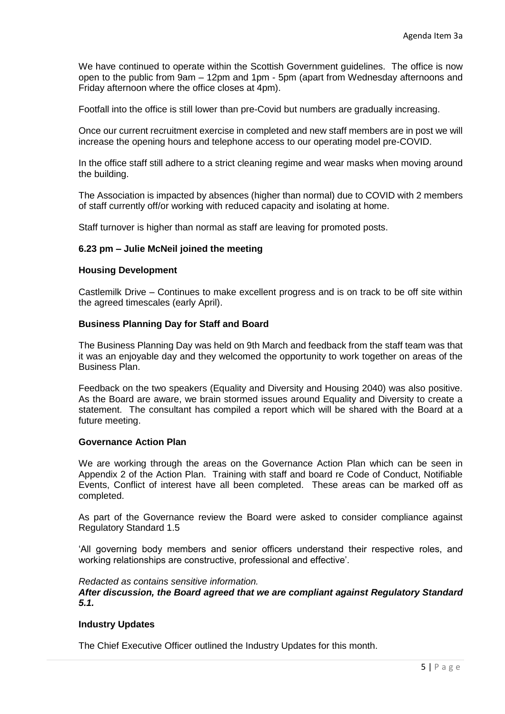We have continued to operate within the Scottish Government guidelines. The office is now open to the public from 9am – 12pm and 1pm - 5pm (apart from Wednesday afternoons and Friday afternoon where the office closes at 4pm).

Footfall into the office is still lower than pre-Covid but numbers are gradually increasing.

Once our current recruitment exercise in completed and new staff members are in post we will increase the opening hours and telephone access to our operating model pre-COVID.

In the office staff still adhere to a strict cleaning regime and wear masks when moving around the building.

The Association is impacted by absences (higher than normal) due to COVID with 2 members of staff currently off/or working with reduced capacity and isolating at home.

Staff turnover is higher than normal as staff are leaving for promoted posts.

#### **6.23 pm – Julie McNeil joined the meeting**

#### **Housing Development**

Castlemilk Drive – Continues to make excellent progress and is on track to be off site within the agreed timescales (early April).

#### **Business Planning Day for Staff and Board**

The Business Planning Day was held on 9th March and feedback from the staff team was that it was an enjoyable day and they welcomed the opportunity to work together on areas of the Business Plan.

Feedback on the two speakers (Equality and Diversity and Housing 2040) was also positive. As the Board are aware, we brain stormed issues around Equality and Diversity to create a statement. The consultant has compiled a report which will be shared with the Board at a future meeting.

#### **Governance Action Plan**

We are working through the areas on the Governance Action Plan which can be seen in Appendix 2 of the Action Plan. Training with staff and board re Code of Conduct, Notifiable Events, Conflict of interest have all been completed. These areas can be marked off as completed.

As part of the Governance review the Board were asked to consider compliance against Regulatory Standard 1.5

'All governing body members and senior officers understand their respective roles, and working relationships are constructive, professional and effective'.

#### *Redacted as contains sensitive information.*

*After discussion, the Board agreed that we are compliant against Regulatory Standard 5.1.* 

#### **Industry Updates**

The Chief Executive Officer outlined the Industry Updates for this month.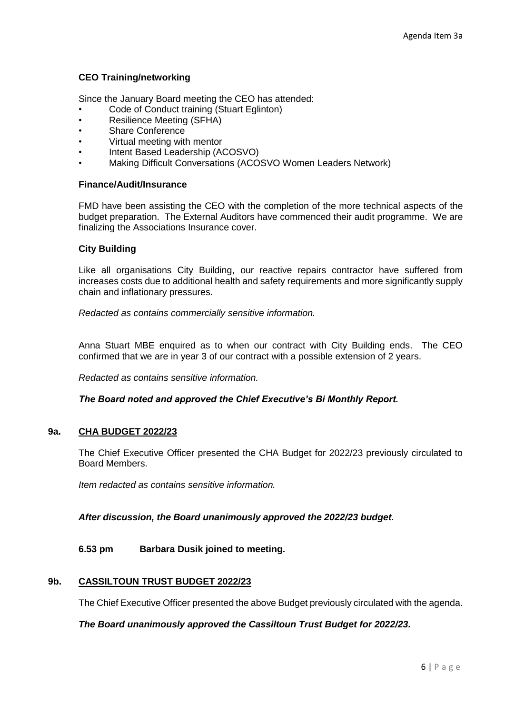# **CEO Training/networking**

Since the January Board meeting the CEO has attended:

- Code of Conduct training (Stuart Eglinton)
- Resilience Meeting (SFHA)
- Share Conference
- Virtual meeting with mentor
- Intent Based Leadership (ACOSVO)
- Making Difficult Conversations (ACOSVO Women Leaders Network)

#### **Finance/Audit/Insurance**

FMD have been assisting the CEO with the completion of the more technical aspects of the budget preparation. The External Auditors have commenced their audit programme. We are finalizing the Associations Insurance cover.

### **City Building**

Like all organisations City Building, our reactive repairs contractor have suffered from increases costs due to additional health and safety requirements and more significantly supply chain and inflationary pressures.

*Redacted as contains commercially sensitive information.*

Anna Stuart MBE enquired as to when our contract with City Building ends. The CEO confirmed that we are in year 3 of our contract with a possible extension of 2 years.

*Redacted as contains sensitive information.*

*The Board noted and approved the Chief Executive's Bi Monthly Report.*

### **9a. CHA BUDGET 2022/23**

The Chief Executive Officer presented the CHA Budget for 2022/23 previously circulated to Board Members.

*Item redacted as contains sensitive information.*

*After discussion, the Board unanimously approved the 2022/23 budget.*

### **6.53 pm Barbara Dusik joined to meeting.**

### **9b. CASSILTOUN TRUST BUDGET 2022/23**

The Chief Executive Officer presented the above Budget previously circulated with the agenda.

*The Board unanimously approved the Cassiltoun Trust Budget for 2022/23.*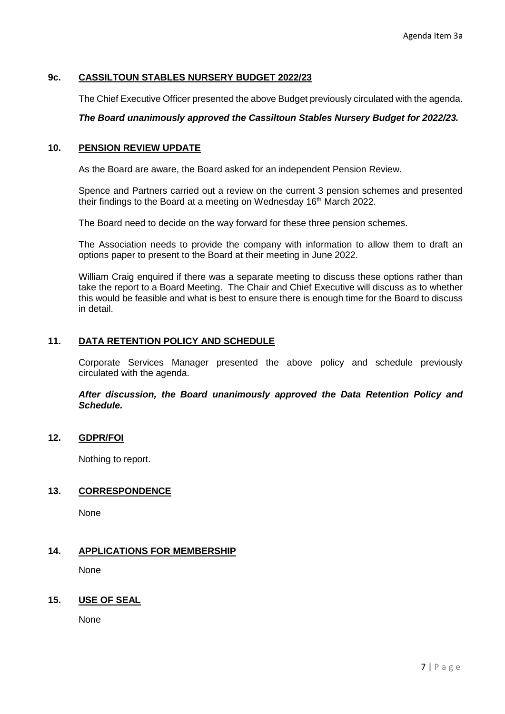# **9c. CASSILTOUN STABLES NURSERY BUDGET 2022/23**

The Chief Executive Officer presented the above Budget previously circulated with the agenda.

### *The Board unanimously approved the Cassiltoun Stables Nursery Budget for 2022/23.*

# **10. PENSION REVIEW UPDATE**

As the Board are aware, the Board asked for an independent Pension Review.

Spence and Partners carried out a review on the current 3 pension schemes and presented their findings to the Board at a meeting on Wednesday 16<sup>th</sup> March 2022.

The Board need to decide on the way forward for these three pension schemes.

The Association needs to provide the company with information to allow them to draft an options paper to present to the Board at their meeting in June 2022.

William Craig enquired if there was a separate meeting to discuss these options rather than take the report to a Board Meeting. The Chair and Chief Executive will discuss as to whether this would be feasible and what is best to ensure there is enough time for the Board to discuss in detail.

### **11. DATA RETENTION POLICY AND SCHEDULE**

Corporate Services Manager presented the above policy and schedule previously circulated with the agenda.

*After discussion, the Board unanimously approved the Data Retention Policy and Schedule.*

# **12. GDPR/FOI**

Nothing to report.

#### **13. CORRESPONDENCE**

None

### **14. APPLICATIONS FOR MEMBERSHIP**

None

#### **15. USE OF SEAL**

None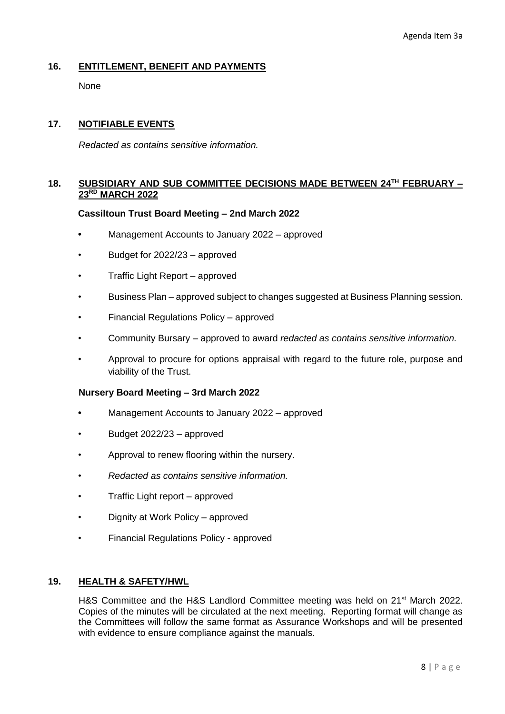# **16. ENTITLEMENT, BENEFIT AND PAYMENTS**

None

# **17. NOTIFIABLE EVENTS**

*Redacted as contains sensitive information.*

# **18. SUBSIDIARY AND SUB COMMITTEE DECISIONS MADE BETWEEN 24TH FEBRUARY – 23RD MARCH 2022**

#### **Cassiltoun Trust Board Meeting – 2nd March 2022**

- **•** Management Accounts to January 2022 approved
- Budget for 2022/23 approved
- Traffic Light Report approved
- Business Plan approved subject to changes suggested at Business Planning session.
- Financial Regulations Policy approved
- Community Bursary approved to award *redacted as contains sensitive information.*
- Approval to procure for options appraisal with regard to the future role, purpose and viability of the Trust.

#### **Nursery Board Meeting – 3rd March 2022**

- **•** Management Accounts to January 2022 approved
- Budget 2022/23 approved
- Approval to renew flooring within the nursery.
- *• Redacted as contains sensitive information.*
- Traffic Light report approved
- Dignity at Work Policy approved
- Financial Regulations Policy approved

### **19. HEALTH & SAFETY/HWL**

H&S Committee and the H&S Landlord Committee meeting was held on 21<sup>st</sup> March 2022. Copies of the minutes will be circulated at the next meeting. Reporting format will change as the Committees will follow the same format as Assurance Workshops and will be presented with evidence to ensure compliance against the manuals.